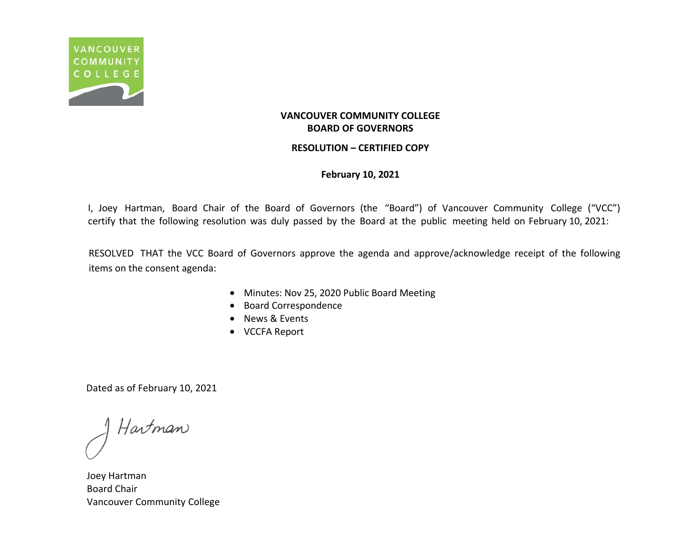

#### **RESOLUTION – CERTIFIED COPY**

### **February 10, 2021**

I, Joey Hartman, Board Chair of the Board of Governors (the "Board") of Vancouver Community College ("VCC") certify that the following resolution was duly passed by the Board at the public meeting held on February 10, 2021:

RESOLVED THAT the VCC Board of Governors approve the agenda and approve/acknowledge receipt of the following items on the consent agenda:

- Minutes: Nov 25, 2020 Public Board Meeting
- Board Correspondence
- News & Events
- VCCFA Report

Hartman

Joey Hartman Board Chair Vancouver Community College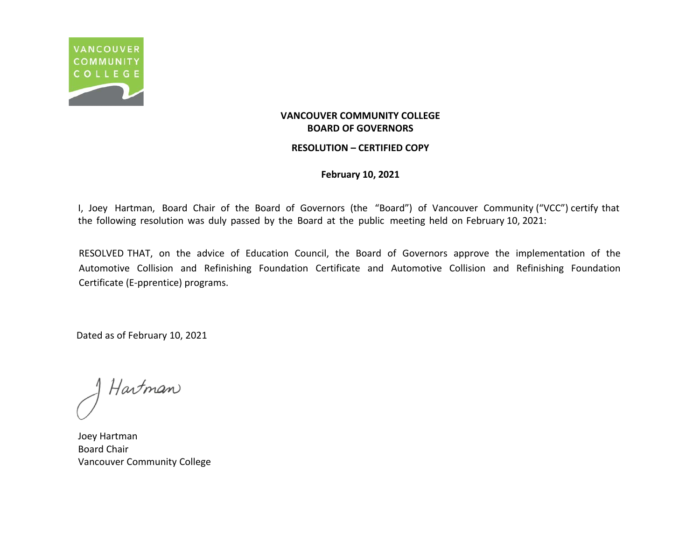

#### **RESOLUTION – CERTIFIED COPY**

#### **February 10, 2021**

I, Joey Hartman, Board Chair of the Board of Governors (the "Board") of Vancouver Community ("VCC") certify that the following resolution was duly passed by the Board at the public meeting held on February 10, 2021:

RESOLVED THAT, on the advice of Education Council, the Board of Governors approve the implementation of the Automotive Collision and Refinishing Foundation Certificate and Automotive Collision and Refinishing Foundation Certificate (E-pprentice) programs.

Hartman

Joey Hartman Board Chair Vancouver Community College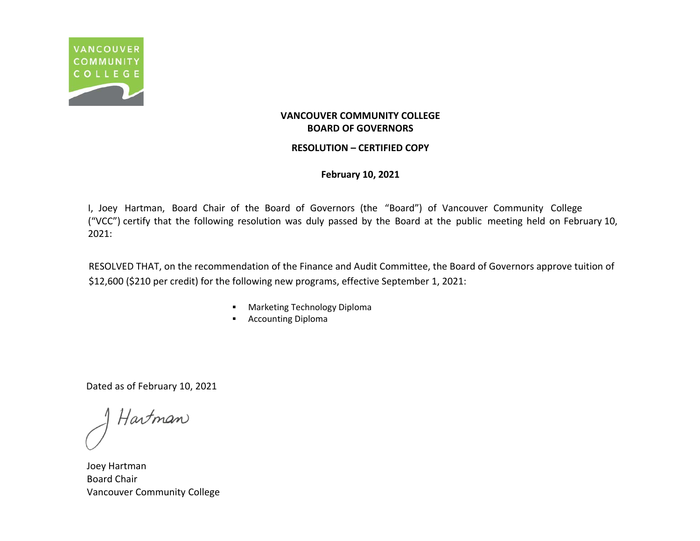

### **RESOLUTION – CERTIFIED COPY**

**February 10, 2021**

I, Joey Hartman, Board Chair of the Board of Governors (the "Board") of Vancouver Community College ("VCC") certify that the following resolution was duly passed by the Board at the public meeting held on February 10, 2021:

RESOLVED THAT, on the recommendation of the Finance and Audit Committee, the Board of Governors approve tuition of \$12,600 (\$210 per credit) for the following new programs, effective September 1, 2021:

- **Marketing Technology Diploma**
- **Accounting Diploma**

Hartman

Joey Hartman Board Chair Vancouver Community College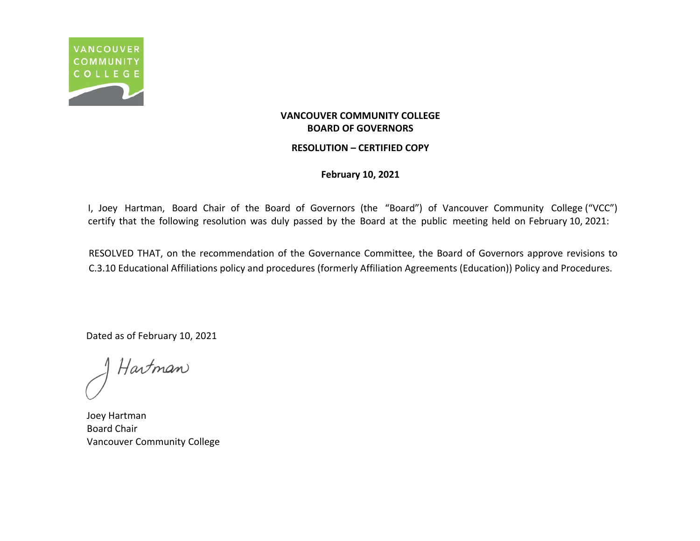

#### **RESOLUTION – CERTIFIED COPY**

**February 10, 2021**

I, Joey Hartman, Board Chair of the Board of Governors (the "Board") of Vancouver Community College ("VCC") certify that the following resolution was duly passed by the Board at the public meeting held on February 10, 2021:

RESOLVED THAT, on the recommendation of the Governance Committee, the Board of Governors approve revisions to C.3.10 Educational Affiliations policy and procedures (formerly Affiliation Agreements (Education)) Policy and Procedures.

Hartman

Joey Hartman Board Chair Vancouver Community College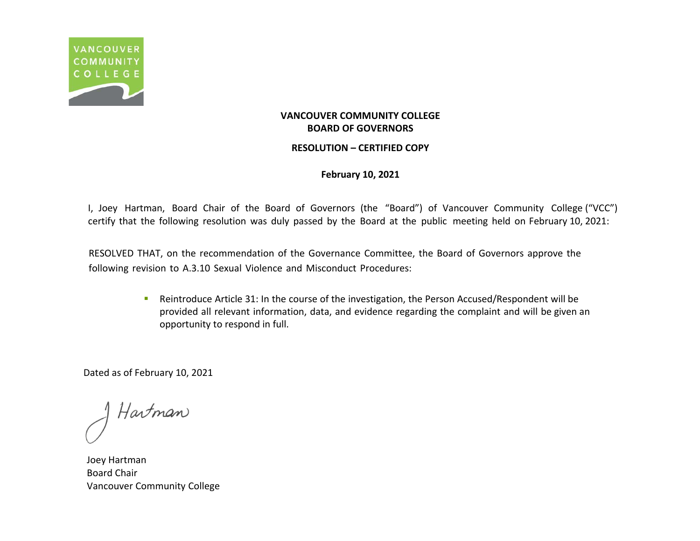

#### **RESOLUTION – CERTIFIED COPY**

### **February 10, 2021**

I, Joey Hartman, Board Chair of the Board of Governors (the "Board") of Vancouver Community College ("VCC") certify that the following resolution was duly passed by the Board at the public meeting held on February 10, 2021:

RESOLVED THAT, on the recommendation of the Governance Committee, the Board of Governors approve the following revision to A.3.10 Sexual Violence and Misconduct Procedures:

> **Reintroduce Article 31: In the course of the investigation, the Person Accused/Respondent will be** provided all relevant information, data, and evidence regarding the complaint and will be given an opportunity to respond in full.

Hartman

Joey Hartman Board Chair Vancouver Community College